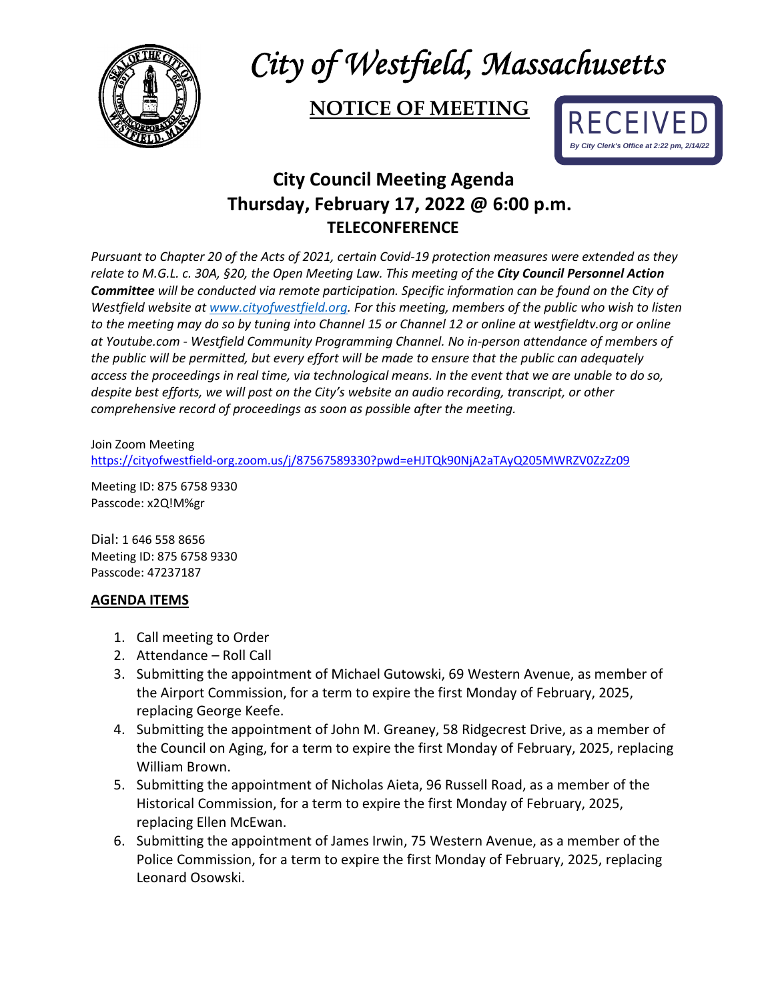

## *City of Westfield, Massachusetts*

## **NOTICE OF MEETING**



## **City Council Meeting Agenda Thursday, February 17, 2022 @ 6:00 p.m. TELECONFERENCE**

*Pursuant to Chapter 20 of the Acts of 2021, certain Covid-19 protection measures were extended as they relate to M.G.L. c. 30A, §20, the Open Meeting Law. This meeting of the City Council Personnel Action Committee will be conducted via remote participation. Specific information can be found on the City of Westfield website a[t www.cityofwestfield.org.](http://www.cityofwestfield.org/) For this meeting, members of the public who wish to listen to the meeting may do so by tuning into Channel 15 or Channel 12 or online at westfieldtv.org or online at Youtube.com - Westfield Community Programming Channel. No in-person attendance of members of the public will be permitted, but every effort will be made to ensure that the public can adequately access the proceedings in real time, via technological means. In the event that we are unable to do so, despite best efforts, we will post on the City's website an audio recording, transcript, or other comprehensive record of proceedings as soon as possible after the meeting.* 

Join Zoom Meeting <https://cityofwestfield-org.zoom.us/j/87567589330?pwd=eHJTQk90NjA2aTAyQ205MWRZV0ZzZz09>

Meeting ID: 875 6758 9330 Passcode: x2Q!M%gr

Dial: 1 646 558 8656 Meeting ID: 875 6758 9330 Passcode: 47237187

## **AGENDA ITEMS**

- 1. Call meeting to Order
- 2. Attendance Roll Call
- 3. Submitting the appointment of Michael Gutowski, 69 Western Avenue, as member of the Airport Commission, for a term to expire the first Monday of February, 2025, replacing George Keefe.
- 4. Submitting the appointment of John M. Greaney, 58 Ridgecrest Drive, as a member of the Council on Aging, for a term to expire the first Monday of February, 2025, replacing William Brown.
- 5. Submitting the appointment of Nicholas Aieta, 96 Russell Road, as a member of the Historical Commission, for a term to expire the first Monday of February, 2025, replacing Ellen McEwan.
- 6. Submitting the appointment of James Irwin, 75 Western Avenue, as a member of the Police Commission, for a term to expire the first Monday of February, 2025, replacing Leonard Osowski.